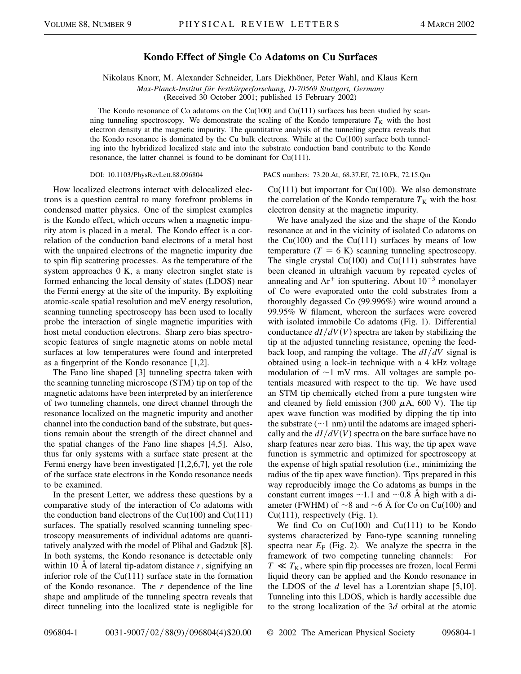## **Kondo Effect of Single Co Adatoms on Cu Surfaces**

Nikolaus Knorr, M. Alexander Schneider, Lars Diekhöner, Peter Wahl, and Klaus Kern *Max-Planck-Institut für Festkörperforschung, D-70569 Stuttgart, Germany* (Received 30 October 2001; published 15 February 2002)

The Kondo resonance of Co adatoms on the Cu(100) and Cu(111) surfaces has been studied by scanning tunneling spectroscopy. We demonstrate the scaling of the Kondo temperature  $T_K$  with the host electron density at the magnetic impurity. The quantitative analysis of the tunneling spectra reveals that the Kondo resonance is dominated by the Cu bulk electrons. While at the  $Cu(100)$  surface both tunneling into the hybridized localized state and into the substrate conduction band contribute to the Kondo resonance, the latter channel is found to be dominant for Cu(111).

How localized electrons interact with delocalized electrons is a question central to many forefront problems in condensed matter physics. One of the simplest examples is the Kondo effect, which occurs when a magnetic impurity atom is placed in a metal. The Kondo effect is a correlation of the conduction band electrons of a metal host with the unpaired electrons of the magnetic impurity due to spin flip scattering processes. As the temperature of the system approaches 0 K, a many electron singlet state is formed enhancing the local density of states (LDOS) near the Fermi energy at the site of the impurity. By exploiting atomic-scale spatial resolution and meV energy resolution, scanning tunneling spectroscopy has been used to locally probe the interaction of single magnetic impurities with host metal conduction electrons. Sharp zero bias spectroscopic features of single magnetic atoms on noble metal surfaces at low temperatures were found and interpreted as a fingerprint of the Kondo resonance [1,2].

The Fano line shaped [3] tunneling spectra taken with the scanning tunneling microscope (STM) tip on top of the magnetic adatoms have been interpreted by an interference of two tunneling channels, one direct channel through the resonance localized on the magnetic impurity and another channel into the conduction band of the substrate, but questions remain about the strength of the direct channel and the spatial changes of the Fano line shapes [4,5]. Also, thus far only systems with a surface state present at the Fermi energy have been investigated [1,2,6,7], yet the role of the surface state electrons in the Kondo resonance needs to be examined.

In the present Letter, we address these questions by a comparative study of the interaction of Co adatoms with the conduction band electrons of the  $Cu(100)$  and  $Cu(111)$ surfaces. The spatially resolved scanning tunneling spectroscopy measurements of individual adatoms are quantitatively analyzed with the model of Plihal and Gadzuk [8]. In both systems, the Kondo resonance is detectable only within 10 Å of lateral tip-adatom distance *r*, signifying an inferior role of the  $Cu(111)$  surface state in the formation of the Kondo resonance. The *r* dependence of the line shape and amplitude of the tunneling spectra reveals that direct tunneling into the localized state is negligible for

DOI: 10.1103/PhysRevLett.88.096804 PACS numbers: 73.20.At, 68.37.Ef, 72.10.Fk, 72.15.Qm

 $Cu(111)$  but important for  $Cu(100)$ . We also demonstrate the correlation of the Kondo temperature  $T_K$  with the host electron density at the magnetic impurity.

We have analyzed the size and the shape of the Kondo resonance at and in the vicinity of isolated Co adatoms on the  $Cu(100)$  and the  $Cu(111)$  surfaces by means of low temperature  $(T = 6 \text{ K})$  scanning tunneling spectroscopy. The single crystal  $Cu(100)$  and  $Cu(111)$  substrates have been cleaned in ultrahigh vacuum by repeated cycles of annealing and  $Ar^+$  ion sputtering. About  $10^{-3}$  monolayer of Co were evaporated onto the cold substrates from a thoroughly degassed Co (99.996%) wire wound around a 99.95% W filament, whereon the surfaces were covered with isolated immobile Co adatoms (Fig. 1). Differential conductance  $dI/dV(V)$  spectra are taken by stabilizing the tip at the adjusted tunneling resistance, opening the feedback loop, and ramping the voltage. The *dIdV* signal is obtained using a lock-in technique with a 4 kHz voltage modulation of  $\sim$ 1 mV rms. All voltages are sample potentials measured with respect to the tip. We have used an STM tip chemically etched from a pure tungsten wire and cleaned by field emission (300  $\mu$ A, 600 V). The tip apex wave function was modified by dipping the tip into the substrate  $(\sim 1 \text{ nm})$  until the adatoms are imaged spherically and the  $dI/dV(V)$  spectra on the bare surface have no sharp features near zero bias. This way, the tip apex wave function is symmetric and optimized for spectroscopy at the expense of high spatial resolution (i.e., minimizing the radius of the tip apex wave function). Tips prepared in this way reproducibly image the Co adatoms as bumps in the constant current images  $\sim$  1.1 and  $\sim$  0.8 Å high with a diameter (FWHM) of  $\sim$ 8 and  $\sim$ 6 Å for Co on Cu(100) and  $Cu(111)$ , respectively (Fig. 1).

We find  $Co$  on  $Cu(100)$  and  $Cu(111)$  to be Kondo systems characterized by Fano-type scanning tunneling spectra near  $E_F$  (Fig. 2). We analyze the spectra in the framework of two competing tunneling channels: For  $T \ll T_K$ , where spin flip processes are frozen, local Fermi liquid theory can be applied and the Kondo resonance in the LDOS of the *d* level has a Lorentzian shape [5,10]. Tunneling into this LDOS, which is hardly accessible due to the strong localization of the 3*d* orbital at the atomic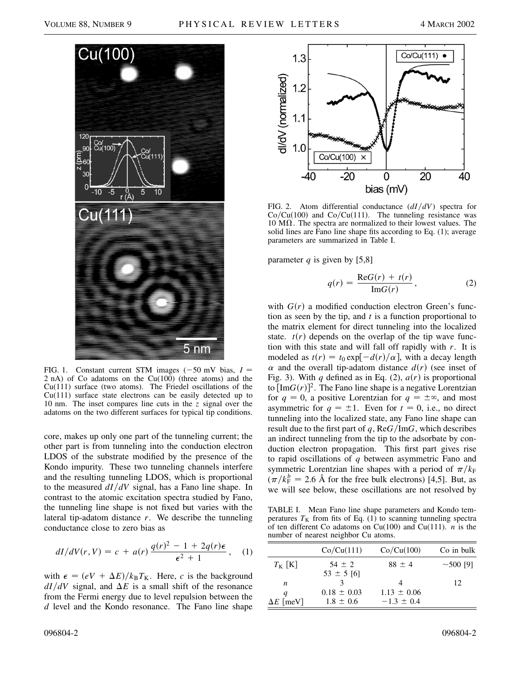

FIG. 1. Constant current STM images  $(-50 \text{ mV} \text{ bias}, I =$ 2 nA) of Co adatoms on the  $Cu(100)$  (three atoms) and the Cu(111) surface (two atoms). The Friedel oscillations of the Cu(111) surface state electrons can be easily detected up to 10 nm. The inset compares line cuts in the *z* signal over the adatoms on the two different surfaces for typical tip conditions.

core, makes up only one part of the tunneling current; the other part is from tunneling into the conduction electron LDOS of the substrate modified by the presence of the Kondo impurity. These two tunneling channels interfere and the resulting tunneling LDOS, which is proportional to the measured *dIdV* signal, has a Fano line shape. In contrast to the atomic excitation spectra studied by Fano, the tunneling line shape is not fixed but varies with the lateral tip-adatom distance *r*. We describe the tunneling conductance close to zero bias as

$$
dI/dV(r,V) = c + a(r)\frac{q(r)^{2} - 1 + 2q(r)\epsilon}{\epsilon^{2} + 1}, \quad (1)
$$

with  $\epsilon = (eV + \Delta E)/k_B T_K$ . Here, *c* is the background  $dI/dV$  signal, and  $\Delta E$  is a small shift of the resonance from the Fermi energy due to level repulsion between the *d* level and the Kondo resonance. The Fano line shape



FIG. 2. Atom differential conductance (*dIdV*) spectra for  $Co/Cu(100)$  and  $Co/Cu(111)$ . The tunneling resistance was  $10 \text{ M}\Omega$ . The spectra are normalized to their lowest values. The solid lines are Fano line shape fits according to Eq. (1); average parameters are summarized in Table I.

parameter  $q$  is given by [5,8]

$$
q(r) = \frac{\text{Re}G(r) + t(r)}{\text{Im}G(r)},\tag{2}
$$

with  $G(r)$  a modified conduction electron Green's function as seen by the tip, and *t* is a function proportional to the matrix element for direct tunneling into the localized state.  $t(r)$  depends on the overlap of the tip wave function with this state and will fall off rapidly with *r*. It is modeled as  $t(r) = t_0 \exp[-\frac{d(r)}{\alpha}]$ , with a decay length  $\alpha$  and the overall tip-adatom distance  $d(r)$  (see inset of Fig. 3). With *q* defined as in Eq. (2),  $a(r)$  is proportional to  $[\text{Im}G(r)]^2$ . The Fano line shape is a negative Lorentzian for  $q = 0$ , a positive Lorentzian for  $q = \pm \infty$ , and most asymmetric for  $q = \pm 1$ . Even for  $t = 0$ , i.e., no direct tunneling into the localized state, any Fano line shape can result due to the first part of  $q$ , Re $G/ImG$ , which describes an indirect tunneling from the tip to the adsorbate by conduction electron propagation. This first part gives rise to rapid oscillations of *q* between asymmetric Fano and symmetric Lorentzian line shapes with a period of  $\pi/k_F$  $(\pi/k_F^b = 2.6 \text{ Å}$  for the free bulk electrons) [4,5]. But, as we will see below, these oscillations are not resolved by

TABLE I. Mean Fano line shape parameters and Kondo temperatures  $T_K$  from fits of Eq. (1) to scanning tunneling spectra of ten different Co adatoms on Cu(100) and Cu(111). *n* is the number of nearest neighbor Cu atoms.

|                  | Co/Cu(111)      | Co/Cu(100)      | Co in bulk     |
|------------------|-----------------|-----------------|----------------|
| $T_{\rm K}$ [K]  | $54 \pm 2$      | $88 \pm 4$      | $\sim$ 500 [9] |
|                  | $53 \pm 5$ [6]  |                 |                |
| n                |                 |                 | 12             |
| q                | $0.18 \pm 0.03$ | $1.13 \pm 0.06$ |                |
| $\Delta E$ [meV] | $1.8 \pm 0.6$   | $-1.3 \pm 0.4$  |                |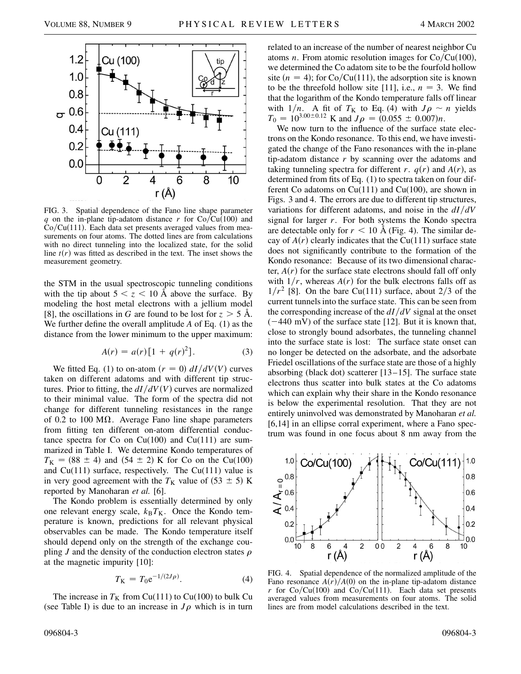

FIG. 3. Spatial dependence of the Fano line shape parameter *q* on the in-plane tip-adatom distance *r* for  $Co/Cu(100)$  and  $Co/Cu(111)$ . Each data set presents averaged values from measurements on four atoms. The dotted lines are from calculations with no direct tunneling into the localized state, for the solid line  $t(r)$  was fitted as described in the text. The inset shows the measurement geometry.

the STM in the usual spectroscopic tunneling conditions with the tip about  $5 < z < 10$  Å above the surface. By modeling the host metal electrons with a jellium model [8], the oscillations in *G* are found to be lost for  $z > 5$  Å. We further define the overall amplitude *A* of Eq. (1) as the distance from the lower minimum to the upper maximum:

$$
A(r) = a(r)[1 + q(r)^{2}].
$$
 (3)

We fitted Eq. (1) to on-atom  $(r = 0) dI/dV(V)$  curves taken on different adatoms and with different tip structures. Prior to fitting, the  $dI/dV(V)$  curves are normalized to their minimal value. The form of the spectra did not change for different tunneling resistances in the range of 0.2 to 100  $\text{M}\Omega$ . Average Fano line shape parameters from fitting ten different on-atom differential conductance spectra for Co on  $Cu(100)$  and  $Cu(111)$  are summarized in Table I. We determine Kondo temperatures of  $T_{\rm K} = (88 \pm 4)$  and  $(54 \pm 2)$  K for Co on the Cu(100) and  $Cu(111)$  surface, respectively. The  $Cu(111)$  value is in very good agreement with the  $T<sub>K</sub>$  value of (53  $\pm$  5) K reported by Manoharan *et al.* [6].

The Kondo problem is essentially determined by only one relevant energy scale,  $k_B T_K$ . Once the Kondo temperature is known, predictions for all relevant physical observables can be made. The Kondo temperature itself should depend only on the strength of the exchange coupling *J* and the density of the conduction electron states  $\rho$ at the magnetic impurity [10]:

$$
T_{\rm K} = T_0 e^{-1/(2J\rho)}.
$$
 (4)

The increase in  $T_K$  from Cu(111) to Cu(100) to bulk Cu (see Table I) is due to an increase in  $J\rho$  which is in turn related to an increase of the number of nearest neighbor Cu atoms *n*. From atomic resolution images for  $Co/Cu(100)$ , we determined the Co adatom site to be the fourfold hollow site  $(n = 4)$ ; for Co/Cu(111), the adsorption site is known to be the threefold hollow site [11], i.e.,  $n = 3$ . We find that the logarithm of the Kondo temperature falls off linear with  $1/n$ . A fit of  $T_K$  to Eq. (4) with  $J \rho \sim n$  yields  $T_0 = 10^{3.00 \pm 0.12}$  K and  $J\rho = (0.055 \pm 0.007)n$ .

We now turn to the influence of the surface state electrons on the Kondo resonance. To this end, we have investigated the change of the Fano resonances with the in-plane tip-adatom distance *r* by scanning over the adatoms and taking tunneling spectra for different *r*.  $q(r)$  and  $A(r)$ , as determined from fits of Eq. (1) to spectra taken on four different Co adatoms on  $Cu(111)$  and  $Cu(100)$ , are shown in Figs. 3 and 4. The errors are due to different tip structures, variations for different adatoms, and noise in the *dIdV* signal for larger *r*. For both systems the Kondo spectra are detectable only for  $r < 10$  Å (Fig. 4). The similar decay of  $A(r)$  clearly indicates that the Cu(111) surface state does not significantly contribute to the formation of the Kondo resonance: Because of its two dimensional character,  $A(r)$  for the surface state electrons should fall off only with  $1/r$ , whereas  $A(r)$  for the bulk electrons falls off as  $1/r^2$  [8]. On the bare Cu(111) surface, about 2/3 of the current tunnels into the surface state. This can be seen from the corresponding increase of the  $dI/dV$  signal at the onset  $(-440 \text{ mV})$  of the surface state [12]. But it is known that, close to strongly bound adsorbates, the tunneling channel into the surface state is lost: The surface state onset can no longer be detected on the adsorbate, and the adsorbate Friedel oscillations of the surface state are those of a highly absorbing (black dot) scatterer [13–15]. The surface state electrons thus scatter into bulk states at the Co adatoms which can explain why their share in the Kondo resonance is below the experimental resolution. That they are not entirely uninvolved was demonstrated by Manoharan *et al.* [6,14] in an ellipse corral experiment, where a Fano spectrum was found in one focus about 8 nm away from the



FIG. 4. Spatial dependence of the normalized amplitude of the Fano resonance  $A(r)/A(0)$  on the in-plane tip-adatom distance *r* for  $Co/Cu(100)$  and  $Co/Cu(111)$ . Each data set presents averaged values from measurements on four atoms. The solid lines are from model calculations described in the text.